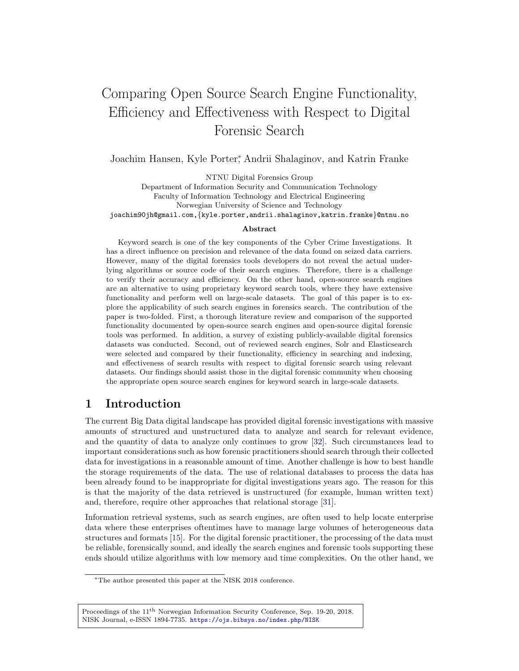# Comparing Open Source Search Engine Functionality, Efficiency and Effectiveness with Respect to Digital Forensic Search

Joachim Hansen, Kyle Porter<sup>\*</sup>, Andrii Shalaginov, and Katrin Franke

NTNU Digital Forensics Group

Department of Information Security and Communication Technology Faculty of Information Technology and Electrical Engineering Norwegian University of Science and Technology joachim90jh@gmail.com,{kyle.porter,andrii.shalaginov,katrin.franke}@ntnu.no

#### Abstract

Keyword search is one of the key components of the Cyber Crime Investigations. It has a direct influence on precision and relevance of the data found on seized data carriers. However, many of the digital forensics tools developers do not reveal the actual underlying algorithms or source code of their search engines. Therefore, there is a challenge to verify their accuracy and efficiency. On the other hand, open-source search engines are an alternative to using proprietary keyword search tools, where they have extensive functionality and perform well on large-scale datasets. The goal of this paper is to explore the applicability of such search engines in forensics search. The contribution of the paper is two-folded. First, a thorough literature review and comparison of the supported functionality documented by open-source search engines and open-source digital forensic tools was performed. In addition, a survey of existing publicly-available digital forensics datasets was conducted. Second, out of reviewed search engines, Solr and Elasticsearch were selected and compared by their functionality, efficiency in searching and indexing, and effectiveness of search results with respect to digital forensic search using relevant datasets. Our findings should assist those in the digital forensic community when choosing the appropriate open source search engines for keyword search in large-scale datasets.

## 1 Introduction

The current Big Data digital landscape has provided digital forensic investigations with massive amounts of structured and unstructured data to analyze and search for relevant evidence, and the quantity of data to analyze only continues to grow [\[32\]](#page-13-0). Such circumstances lead to important considerations such as how forensic practitioners should search through their collected data for investigations in a reasonable amount of time. Another challenge is how to best handle the storage requirements of the data. The use of relational databases to process the data has been already found to be inappropriate for digital investigations years ago. The reason for this is that the majority of the data retrieved is unstructured (for example, human written text) and, therefore, require other approaches that relational storage [\[31\]](#page-13-1).

Information retrieval systems, such as search engines, are often used to help locate enterprise data where these enterprises oftentimes have to manage large volumes of heterogeneous data structures and formats [\[15\]](#page-13-2). For the digital forensic practitioner, the processing of the data must be reliable, forensically sound, and ideally the search engines and forensic tools supporting these ends should utilize algorithms with low memory and time complexities. On the other hand, we

<sup>∗</sup>The author presented this paper at the NISK 2018 conference.

Proceedings of the 11th Norwegian Information Security Conference, Sep. 19-20, 2018. NISK Journal, e-ISSN 1894-7735. <https://ojs.bibsys.no/index.php/NISK>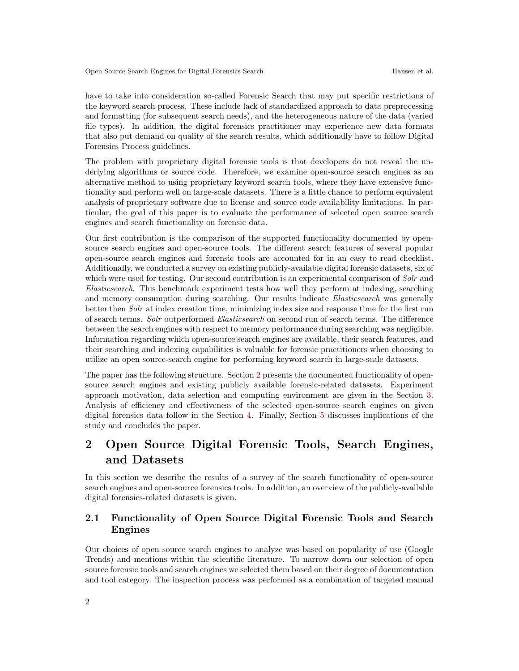have to take into consideration so-called Forensic Search that may put specific restrictions of the keyword search process. These include lack of standardized approach to data preprocessing and formatting (for subsequent search needs), and the heterogeneous nature of the data (varied file types). In addition, the digital forensics practitioner may experience new data formats that also put demand on quality of the search results, which additionally have to follow Digital Forensics Process guidelines.

The problem with proprietary digital forensic tools is that developers do not reveal the underlying algorithms or source code. Therefore, we examine open-source search engines as an alternative method to using proprietary keyword search tools, where they have extensive functionality and perform well on large-scale datasets. There is a little chance to perform equivalent analysis of proprietary software due to license and source code availability limitations. In particular, the goal of this paper is to evaluate the performance of selected open source search engines and search functionality on forensic data.

Our first contribution is the comparison of the supported functionality documented by opensource search engines and open-source tools. The different search features of several popular open-source search engines and forensic tools are accounted for in an easy to read checklist. Additionally, we conducted a survey on existing publicly-available digital forensic datasets, six of which were used for testing. Our second contribution is an experimental comparison of Solr and Elasticsearch. This benchmark experiment tests how well they perform at indexing, searching and memory consumption during searching. Our results indicate Elasticsearch was generally better then Solr at index creation time, minimizing index size and response time for the first run of search terms. Solr outperformed Elasticsearch on second run of search terms. The difference between the search engines with respect to memory performance during searching was negligible. Information regarding which open-source search engines are available, their search features, and their searching and indexing capabilities is valuable for forensic practitioners when choosing to utilize an open source-search engine for performing keyword search in large-scale datasets.

The paper has the following structure. Section [2](#page-1-0) presents the documented functionality of opensource search engines and existing publicly available forensic-related datasets. Experiment approach motivation, data selection and computing environment are given in the Section [3.](#page-4-0) Analysis of efficiency and effectiveness of the selected open-source search engines on given digital forensics data follow in the Section [4.](#page-6-0) Finally, Section [5](#page-11-0) discusses implications of the study and concludes the paper.

# <span id="page-1-0"></span>2 Open Source Digital Forensic Tools, Search Engines, and Datasets

In this section we describe the results of a survey of the search functionality of open-source search engines and open-source forensics tools. In addition, an overview of the publicly-available digital forensics-related datasets is given.

### 2.1 Functionality of Open Source Digital Forensic Tools and Search Engines

Our choices of open source search engines to analyze was based on popularity of use (Google Trends) and mentions within the scientific literature. To narrow down our selection of open source forensic tools and search engines we selected them based on their degree of documentation and tool category. The inspection process was performed as a combination of targeted manual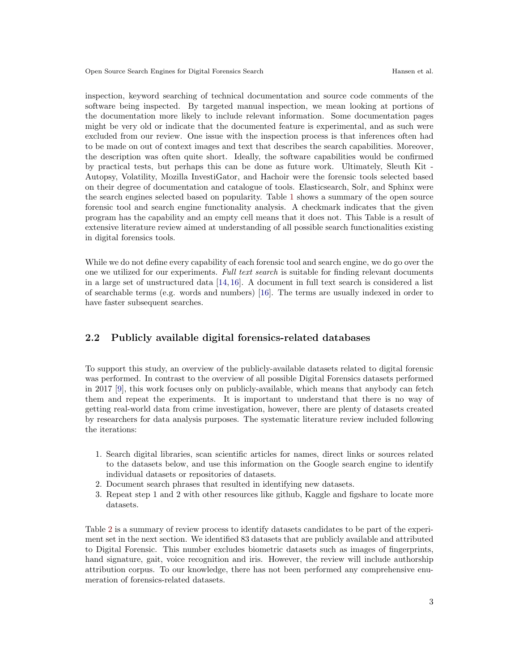inspection, keyword searching of technical documentation and source code comments of the software being inspected. By targeted manual inspection, we mean looking at portions of the documentation more likely to include relevant information. Some documentation pages might be very old or indicate that the documented feature is experimental, and as such were excluded from our review. One issue with the inspection process is that inferences often had to be made on out of context images and text that describes the search capabilities. Moreover, the description was often quite short. Ideally, the software capabilities would be confirmed by practical tests, but perhaps this can be done as future work. Ultimately, Sleuth Kit - Autopsy, Volatility, Mozilla InvestiGator, and Hachoir were the forensic tools selected based on their degree of documentation and catalogue of tools. Elasticsearch, Solr, and Sphinx were the search engines selected based on popularity. Table [1](#page-3-0) shows a summary of the open source forensic tool and search engine functionality analysis. A checkmark indicates that the given program has the capability and an empty cell means that it does not. This Table is a result of extensive literature review aimed at understanding of all possible search functionalities existing in digital forensics tools.

While we do not define every capability of each forensic tool and search engine, we do go over the one we utilized for our experiments. Full text search is suitable for finding relevant documents in a large set of unstructured data [\[14,](#page-13-3) [16\]](#page-13-4). A document in full text search is considered a list of searchable terms (e.g. words and numbers) [\[16\]](#page-13-4). The terms are usually indexed in order to have faster subsequent searches.

#### 2.2 Publicly available digital forensics-related databases

To support this study, an overview of the publicly-available datasets related to digital forensic was performed. In contrast to the overview of all possible Digital Forensics datasets performed in 2017 [\[9\]](#page-12-0), this work focuses only on publicly-available, which means that anybody can fetch them and repeat the experiments. It is important to understand that there is no way of getting real-world data from crime investigation, however, there are plenty of datasets created by researchers for data analysis purposes. The systematic literature review included following the iterations:

- 1. Search digital libraries, scan scientific articles for names, direct links or sources related to the datasets below, and use this information on the Google search engine to identify individual datasets or repositories of datasets.
- 2. Document search phrases that resulted in identifying new datasets.
- 3. Repeat step 1 and 2 with other resources like github, Kaggle and figshare to locate more datasets.

Table [2](#page-4-1) is a summary of review process to identify datasets candidates to be part of the experiment set in the next section. We identified 83 datasets that are publicly available and attributed to Digital Forensic. This number excludes biometric datasets such as images of fingerprints, hand signature, gait, voice recognition and iris. However, the review will include authorship attribution corpus. To our knowledge, there has not been performed any comprehensive enumeration of forensics-related datasets.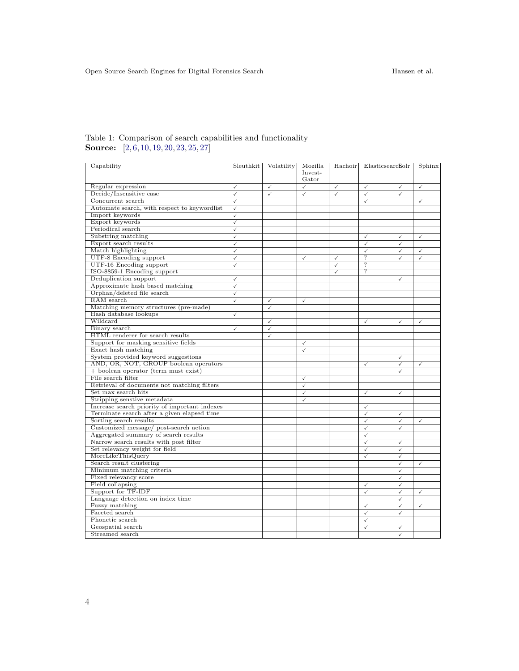| Capability                                    | Sleuthkit    | Volatility   | Mozilla      | Hachoir      | Elasticsearcholr        |                         | Sphinx       |
|-----------------------------------------------|--------------|--------------|--------------|--------------|-------------------------|-------------------------|--------------|
|                                               |              |              | Invest-      |              |                         |                         |              |
|                                               |              |              | Gator        |              |                         |                         |              |
| Regular expression                            | ✓            | ✓            | ✓            | ✓            | $\checkmark$            | ✓                       | $\checkmark$ |
| Decide/Insensitive case                       | ✓            | $\checkmark$ | $\checkmark$ | $\checkmark$ | ✓                       | $\checkmark$            |              |
| Concurrent search                             | $\checkmark$ |              |              |              | $\checkmark$            |                         | $\checkmark$ |
| Automate search, with respect to keywordlist  | $\checkmark$ |              |              |              |                         |                         |              |
| Import keywords                               | ✓            |              |              |              |                         |                         |              |
| Export keywords                               | $\checkmark$ |              |              |              |                         |                         |              |
| Periodical search                             | $\checkmark$ |              |              |              |                         |                         |              |
| Substring matching                            | ✓            |              |              |              | $\checkmark$            | ✓                       | $\checkmark$ |
| Export search results                         | ✓            |              |              |              | $\checkmark$            | $\checkmark$            |              |
| Match highlighting                            | $\checkmark$ |              |              |              | $\checkmark$            | $\checkmark$            | $\checkmark$ |
| UTF-8 Encoding support                        | ✓            |              | ✓            | ✓            | ?                       | $\checkmark$            | $\checkmark$ |
| <b>UTF-16 Encoding support</b>                | ✓            |              |              | $\checkmark$ | 7                       |                         |              |
| ISO-8859-1 Encoding support                   |              |              |              | $\checkmark$ | ?                       |                         |              |
| Deduplication support                         | ✓            |              |              |              |                         | ✓                       |              |
| Approximate hash based matching               | $\checkmark$ |              |              |              |                         |                         |              |
| Orphan/deleted file search                    | ✓            |              |              |              |                         |                         |              |
| RAM search                                    | $\checkmark$ | $\checkmark$ | $\checkmark$ |              |                         |                         |              |
| Matching memory structures (pre-made)         |              | $\checkmark$ |              |              |                         |                         |              |
| Hash database lookups                         | ✓            |              |              |              |                         |                         |              |
| Wildcard                                      |              | $\checkmark$ |              |              | $\checkmark$            | ✓                       | $\checkmark$ |
| Binary search                                 | $\checkmark$ | $\checkmark$ |              |              |                         |                         |              |
| HTML renderer for search results              |              | $\checkmark$ |              |              |                         |                         |              |
| Support for masking sensitive fields          |              |              | $\checkmark$ |              |                         |                         |              |
| Exact hash matching                           |              |              | $\checkmark$ |              |                         |                         |              |
| System provided keyword suggestions           |              |              |              |              |                         | ✓                       |              |
| AND, OR, NOT, GROUP boolean operators         |              |              |              |              | $\checkmark$            | ✓                       | $\checkmark$ |
| + boolean operator (term must exist)          |              |              |              |              |                         | ✓                       |              |
| File search filter                            |              |              | $\checkmark$ |              |                         |                         |              |
| Retrieval of documents not matching filters   |              |              | $\checkmark$ |              |                         |                         |              |
| Set max search hits                           |              |              | ✓            |              | $\checkmark$            | ✓                       |              |
| Stripping senstive metadata                   |              |              | ✓            |              |                         |                         |              |
| Increase search priority of important indexes |              |              |              |              | $\checkmark$            |                         |              |
| Terminate search after a given elapsed time   |              |              |              |              | $\checkmark$            | ✓                       |              |
| Sorting search results                        |              |              |              |              | $\checkmark$            | ✓                       | $\checkmark$ |
| Customized message/ post-search action        |              |              |              |              | $\checkmark$            | ✓                       |              |
| Aggregated summary of search results          |              |              |              |              | ✓                       |                         |              |
| Narrow search results with post filter        |              |              |              |              | $\checkmark$            | $\checkmark$            |              |
| Set relevancy weight for field                |              |              |              |              | $\checkmark$            | ✓                       |              |
| MoreLikeThisQuery                             |              |              |              |              | ✓                       | ✓                       |              |
| Search result clustering                      |              |              |              |              |                         | ✓                       | $\checkmark$ |
| Minimum matching criteria                     |              |              |              |              |                         | $\checkmark$            |              |
| Fixed relevancy score                         |              |              |              |              |                         | ✓                       |              |
| Field collapsing                              |              |              |              |              | $\checkmark$            | ✓                       |              |
| Support for TF-IDF                            |              |              |              |              | $\overline{\checkmark}$ | $\overline{\checkmark}$ | $\checkmark$ |
| Language detection on index time              |              |              |              |              |                         | ✓                       |              |
| Fuzzy matching                                |              |              |              |              | $\checkmark$            | ✓                       | $\checkmark$ |
| Faceted search                                |              |              |              |              | $\checkmark$            | ✓                       |              |
| Phonetic search                               |              |              |              |              | $\checkmark$            |                         |              |
| Geospatial search                             |              |              |              |              | ✓                       | $\checkmark$            |              |
| Streamed search                               |              |              |              |              |                         | ✓                       |              |

#### <span id="page-3-0"></span>Table 1: Comparison of search capabilities and functionality Source: [\[2,](#page-12-1) [6,](#page-12-2) [10,](#page-12-3) [19,](#page-13-5) [20,](#page-13-6) [23,](#page-13-7) [25,](#page-13-8) [27\]](#page-13-9)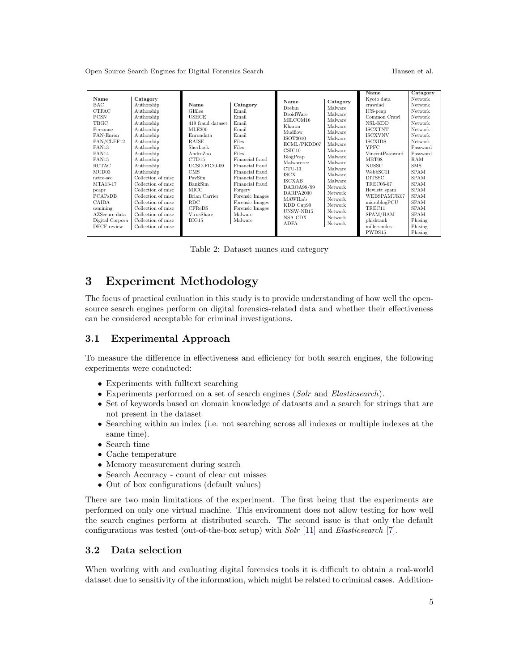<span id="page-4-1"></span>

|                   |                    |                   |                 |                        |          | Name             | Catagory    |
|-------------------|--------------------|-------------------|-----------------|------------------------|----------|------------------|-------------|
| Name              | Catagory           |                   |                 | Name                   | Catagory | Kyoto data       | Network     |
| <b>BAC</b>        | Authorship         | Name              | Catagory        | Drebin                 | Malware  | crawdad          | Network     |
| <b>CTFAC</b>      | Authorship         | <b>GIfiles</b>    | Email           | DroidWare              | Malware  | ICS-peap         | Network     |
| <b>PCSN</b>       | Authorship         | <b>USHCE</b>      | Email           | MILCOM16               | Malware  | Common Crawl     | Network     |
| TBGC              | Authorship         | 419 fraud dataset | Email           | Kharon                 | Malware  | NSL-KDD          | Network     |
| Personae          | Authorship         | MLE200            | Email           | Mudflow                | Malware  | <b>ISCXTNT</b>   | Network     |
| PAN-Enron         | Authorship         | Enrondata         | Email           | ISOT2010               | Malware  | <b>ISCXVNV</b>   | Network     |
| PAN/CLEF12        | Authorship         | <b>RAISE</b>      | Files           | ECML/PKDD07            | Malware  | <b>ISCXIDS</b>   | Network     |
| PAN <sub>13</sub> | Authorship         | SherLock          | Files           | CSTC10                 | Malware  | <b>YPFC</b>      | Password    |
| PAN14             | Authorship         | AndroZoo          | Files           |                        | Malware  | VincentPassword  | Password    |
| PAN <sub>15</sub> | Authorship         | CTD15             | Financial fraud | BlogPcap<br>Malwarerec | Malware  | MBT08            | RAM         |
| <b>RCTAC</b>      | Authorship         | UCSD-FICO-09      | Financial fraud | $CTU-13$               | Malware  | <b>NUSSC</b>     | <b>SMS</b>  |
| MUD03             | Authorship         | <b>CMS</b>        | Financial fraud | <b>ISCX</b>            | Malware  | WebbSC11         | <b>SPAM</b> |
| netre-sec         | Collection of misc | PaySim            | Financial fraud | ISCXAB                 | Malware  | <b>DITSSC</b>    | <b>SPAM</b> |
| MTA13-17          | Collection of misc | BankSim           | Financial fraud | DAROA98/99             | Network  | <b>TREC05-07</b> | <b>SPAM</b> |
| pcapr             | Collection of misc | MICC              | Forgery         | DARPA2000              | Network  | Hewlett spam     | <b>SPAM</b> |
| PCAPsDB           | Collection of misc | Brian Carrier     | Forensic Images | MAWILab                | Network  | WEBSPAMUK07      | <b>SPAM</b> |
| CAIDA             | Collection of misc | <b>RDC</b>        | Forensic Images |                        | Network  | microblogPCU     | <b>SPAM</b> |
| csmining          | Collection of misc | <b>CFReDS</b>     | Forensic Images | KDD Cup99<br>UNSW-NB15 | Network  | TREC11           | <b>SPAM</b> |
| AZSecure-data     | Collection of misc | VirusShare        | Malware         | NSA-CDX                | Network  | SPAM/HAM         | <b>SPAM</b> |
| Digital Corpora   | Collection of misc | BIG15             | Malware         | <b>ADFA</b>            | Network  | phishtank        | Phising     |
| DFCF review       | Collection of misc |                   |                 |                        |          | millersmiles     | Phising     |
|                   |                    |                   |                 |                        |          | PWDS15           | Phising     |

Table 2: Dataset names and category

# <span id="page-4-0"></span>3 Experiment Methodology

The focus of practical evaluation in this study is to provide understanding of how well the opensource search engines perform on digital forensics-related data and whether their effectiveness can be considered acceptable for criminal investigations.

#### 3.1 Experimental Approach

To measure the difference in effectiveness and efficiency for both search engines, the following experiments were conducted:

- Experiments with fulltext searching
- Experiments performed on a set of search engines (Solr and Elasticsearch).
- Set of keywords based on domain knowledge of datasets and a search for strings that are not present in the dataset
- Searching within an index (i.e. not searching across all indexes or multiple indexes at the same time).
- Search time
- Cache temperature
- Memory measurement during search
- Search Accuracy count of clear cut misses
- Out of box configurations (default values)

There are two main limitations of the experiment. The first being that the experiments are performed on only one virtual machine. This environment does not allow testing for how well the search engines perform at distributed search. The second issue is that only the default configurations was tested (out-of-the-box setup) with Solr [\[11\]](#page-12-4) and Elasticsearch [\[7\]](#page-12-5).

#### 3.2 Data selection

When working with and evaluating digital forensics tools it is difficult to obtain a real-world dataset due to sensitivity of the information, which might be related to criminal cases. Addition-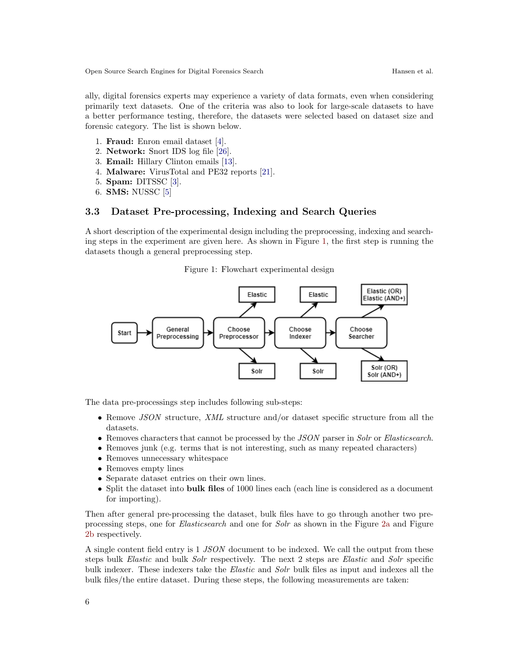ally, digital forensics experts may experience a variety of data formats, even when considering primarily text datasets. One of the criteria was also to look for large-scale datasets to have a better performance testing, therefore, the datasets were selected based on dataset size and forensic category. The list is shown below.

- 1. Fraud: Enron email dataset [\[4\]](#page-12-6).
- 2. Network: Snort IDS log file [\[26\]](#page-13-10).
- 3. Email: Hillary Clinton emails [\[13\]](#page-12-7).
- 4. Malware: VirusTotal and PE32 reports [\[21\]](#page-13-11).
- 5. Spam: DITSSC [\[3\]](#page-12-8).
- 6. SMS: NUSSC [\[5\]](#page-12-9)

#### 3.3 Dataset Pre-processing, Indexing and Search Queries

A short description of the experimental design including the preprocessing, indexing and searching steps in the experiment are given here. As shown in Figure [1,](#page-5-0) the first step is running the datasets though a general preprocessing step.

Figure 1: Flowchart experimental design

<span id="page-5-0"></span>

The data pre-processings step includes following sub-steps:

- Remove JSON structure, XML structure and/or dataset specific structure from all the datasets.
- Removes characters that cannot be processed by the JSON parser in Solr or Elasticsearch.
- Removes junk (e.g. terms that is not interesting, such as many repeated characters)
- Removes unnecessary whitespace
- Removes empty lines
- Separate dataset entries on their own lines.
- Split the dataset into bulk files of 1000 lines each (each line is considered as a document for importing).

Then after general pre-processing the dataset, bulk files have to go through another two preprocessing steps, one for Elasticsearch and one for Solr as shown in the Figure [2a](#page-6-1) and Figure [2b](#page-6-1) respectively.

A single content field entry is 1 JSON document to be indexed. We call the output from these steps bulk Elastic and bulk Solr respectively. The next 2 steps are Elastic and Solr specific bulk indexer. These indexers take the *Elastic* and *Solr* bulk files as input and indexes all the bulk files/the entire dataset. During these steps, the following measurements are taken: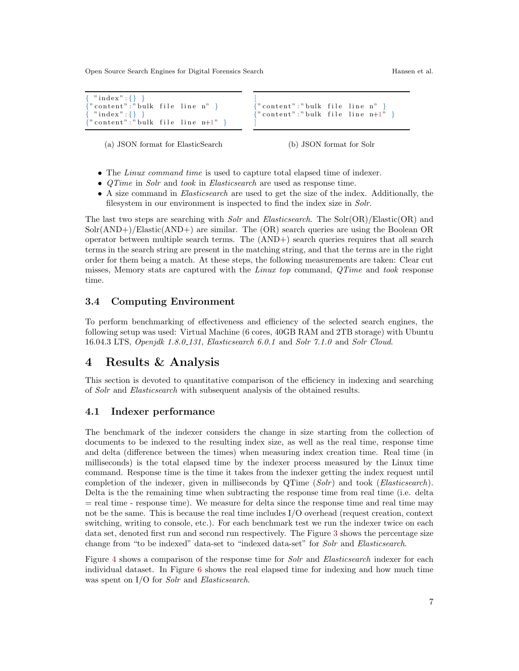<span id="page-6-1"></span>

| $\{$ "index": {} }                     |  |
|----------------------------------------|--|
| $\{$ "content":"bulk file line n" $\}$ |  |
| $\{$ "index": $\{\}\}$                 |  |
| $\{$ "content":"bulk file line n+1" }  |  |

" content" : " bulk file line n"  $" \text{ content}": " \text{ bulk file line } n+1"$ 

(a) JSON format for ElasticSearch

(b) JSON format for Solr

- The Linux command time is used to capture total elapsed time of indexer.
- *QTime* in *Solr* and *took* in *Elasticsearch* are used as response time.
- A size command in Elasticsearch are used to get the size of the index. Additionally, the filesystem in our environment is inspected to find the index size in Solr.

The last two steps are searching with *Solr* and *Elasticsearch*. The Solr(OR)/Elastic(OR) and Solr(AND+)/Elastic(AND+) are similar. The (OR) search queries are using the Boolean OR operator between multiple search terms. The (AND+) search queries requires that all search terms in the search string are present in the matching string, and that the terms are in the right order for them being a match. At these steps, the following measurements are taken: Clear cut misses, Memory stats are captured with the Linux top command, QTime and took response time.

#### 3.4 Computing Environment

To perform benchmarking of effectiveness and efficiency of the selected search engines, the following setup was used: Virtual Machine (6 cores, 40GB RAM and 2TB storage) with Ubuntu 16.04.3 LTS, Openjdk 1.8.0 131, Elasticsearch 6.0.1 and Solr 7.1.0 and Solr Cloud.

### <span id="page-6-0"></span>4 Results & Analysis

This section is devoted to quantitative comparison of the efficiency in indexing and searching of Solr and Elasticsearch with subsequent analysis of the obtained results.

#### 4.1 Indexer performance

The benchmark of the indexer considers the change in size starting from the collection of documents to be indexed to the resulting index size, as well as the real time, response time and delta (difference between the times) when measuring index creation time. Real time (in milliseconds) is the total elapsed time by the indexer process measured by the Linux time command. Response time is the time it takes from the indexer getting the index request until completion of the indexer, given in milliseconds by  $QTime (Solv)$  and took (Elasticsearch). Delta is the the remaining time when subtracting the response time from real time (i.e. delta  $=$  real time - response time). We measure for delta since the response time and real time may not be the same. This is because the real time includes I/O overhead (request creation, context switching, writing to console, etc.). For each benchmark test we run the indexer twice on each data set, denoted first run and second run respectively. The Figure [3](#page-7-0) shows the percentage size change from "to be indexed" data-set to "indexed data-set" for Solr and Elasticsearch.

Figure [4](#page-7-1) shows a comparison of the response time for *Solr* and *Elasticsearch* indexer for each individual dataset. In Figure [6](#page-8-0) shows the real elapsed time for indexing and how much time was spent on I/O for *Solr* and *Elasticsearch*.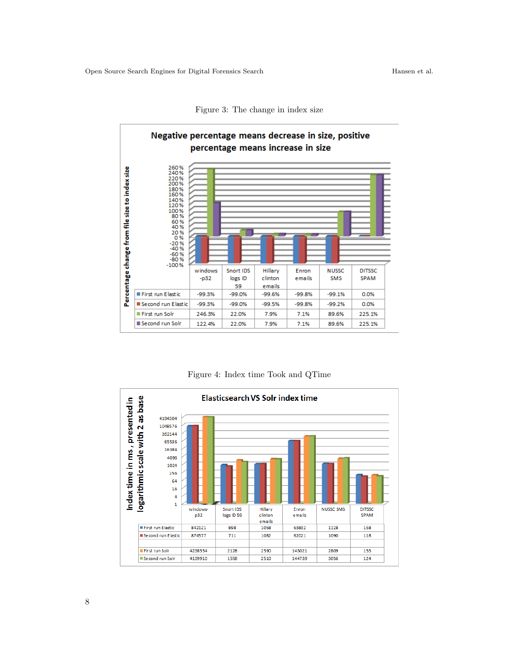Figure 3: The change in index size

<span id="page-7-0"></span>

Figure 4: Index time Took and QTime

<span id="page-7-1"></span>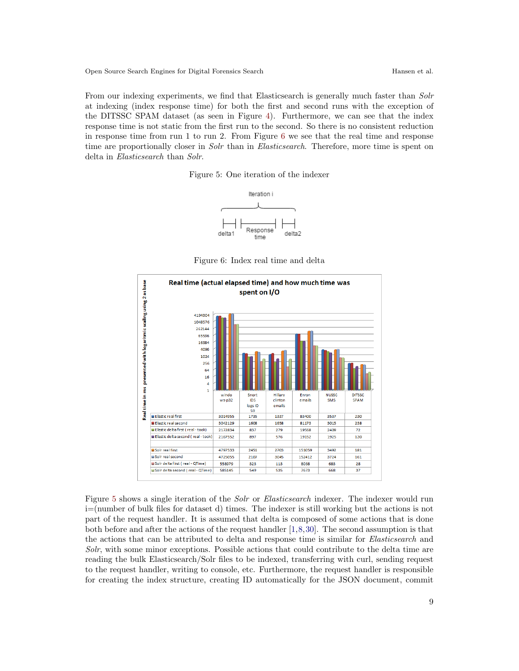<span id="page-8-1"></span>From our indexing experiments, we find that Elasticsearch is generally much faster than Solr at indexing (index response time) for both the first and second runs with the exception of the DITSSC SPAM dataset (as seen in Figure [4\)](#page-7-1). Furthermore, we can see that the index response time is not static from the first run to the second. So there is no consistent reduction in response time from run 1 to run 2. From Figure [6](#page-8-0) we see that the real time and response time are proportionally closer in *Solr* than in *Elasticsearch*. Therefore, more time is spent on delta in Elasticsearch than Solr.

Figure 5: One iteration of the indexer



Figure 6: Index real time and delta

<span id="page-8-0"></span>

Figure [5](#page-8-1) shows a single iteration of the *Solr* or *Elasticsearch* indexer. The indexer would run i=(number of bulk files for dataset d) times. The indexer is still working but the actions is not part of the request handler. It is assumed that delta is composed of some actions that is done both before and after the actions of the request handler [\[1,](#page-12-10)[8,](#page-12-11)[30\]](#page-13-12). The second assumption is that the actions that can be attributed to delta and response time is similar for Elasticsearch and Solr, with some minor exceptions. Possible actions that could contribute to the delta time are reading the bulk Elasticsearch/Solr files to be indexed, transferring with curl, sending request to the request handler, writing to console, etc. Furthermore, the request handler is responsible for creating the index structure, creating ID automatically for the JSON document, commit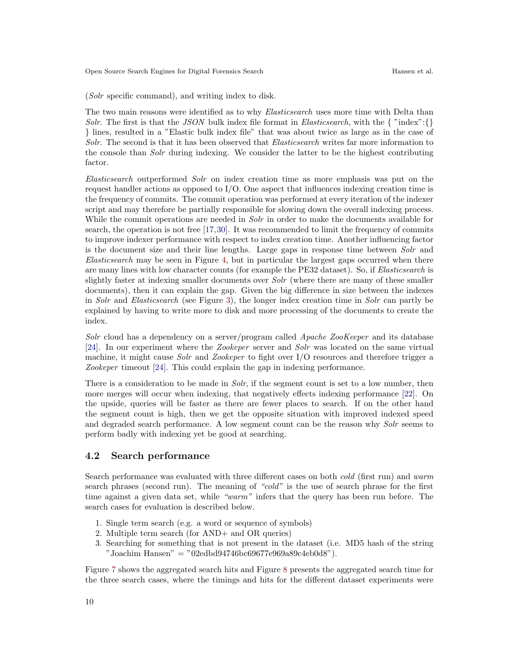(Solr specific command), and writing index to disk.

The two main reasons were identified as to why *Elasticsearch* uses more time with Delta than Solr. The first is that the JSON bulk index file format in Elasticsearch, with the  $\{$  "index": $\{\}$ } lines, resulted in a "Elastic bulk index file" that was about twice as large as in the case of Solr. The second is that it has been observed that Elasticsearch writes far more information to the console than Solr during indexing. We consider the latter to be the highest contributing factor.

Elasticsearch outperformed Solr on index creation time as more emphasis was put on the request handler actions as opposed to I/O. One aspect that influences indexing creation time is the frequency of commits. The commit operation was performed at every iteration of the indexer script and may therefore be partially responsible for slowing down the overall indexing process. While the commit operations are needed in *Solr* in order to make the documents available for search, the operation is not free [\[17,](#page-13-13)[30\]](#page-13-12). It was recommended to limit the frequency of commits to improve indexer performance with respect to index creation time. Another influencing factor is the document size and their line lengths. Large gaps in response time between Solr and Elasticsearch may be seen in Figure [4,](#page-7-1) but in particular the largest gaps occurred when there are many lines with low character counts (for example the PE32 dataset). So, if Elasticsearch is slightly faster at indexing smaller documents over Solr (where there are many of these smaller documents), then it can explain the gap. Given the big difference in size between the indexes in Solr and Elasticsearch (see Figure [3\)](#page-7-0), the longer index creation time in Solr can partly be explained by having to write more to disk and more processing of the documents to create the index.

Solr cloud has a dependency on a server/program called Apache ZooKeeper and its database [\[24\]](#page-13-14). In our experiment where the Zookeper server and Solr was located on the same virtual machine, it might cause *Solr* and *Zookeper* to fight over I/O resources and therefore trigger a Zookeper timeout [\[24\]](#page-13-14). This could explain the gap in indexing performance.

There is a consideration to be made in *Solr*, if the segment count is set to a low number, then more merges will occur when indexing, that negatively effects indexing performance [\[22\]](#page-13-15). On the upside, queries will be faster as there are fewer places to search. If on the other hand the segment count is high, then we get the opposite situation with improved indexed speed and degraded search performance. A low segment count can be the reason why Solr seems to perform badly with indexing yet be good at searching.

#### 4.2 Search performance

Search performance was evaluated with three different cases on both cold (first run) and warm search phrases (second run). The meaning of "cold" is the use of search phrase for the first time against a given data set, while "warm" infers that the query has been run before. The search cases for evaluation is described below.

- 1. Single term search (e.g. a word or sequence of symbols)
- 2. Multiple term search (for AND+ and OR queries)
- 3. Searching for something that is not present in the dataset (i.e. MD5 hash of the string "Joachim Hansen" = "02edbd94746bc69677e969a89c4eb0d8").

Figure [7](#page-10-0) shows the aggregated search hits and Figure [8](#page-10-1) presents the aggregated search time for the three search cases, where the timings and hits for the different dataset experiments were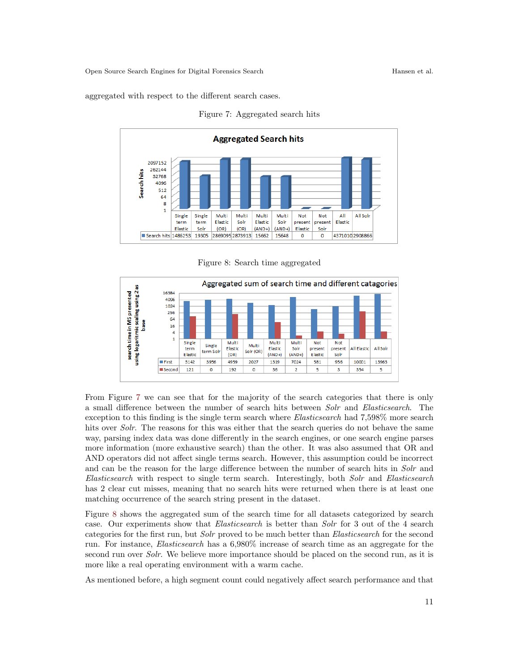<span id="page-10-0"></span>aggregated with respect to the different search cases.



Figure 7: Aggregated search hits

Figure 8: Search time aggregated

<span id="page-10-1"></span>

From Figure [7](#page-10-0) we can see that for the majority of the search categories that there is only a small difference between the number of search hits between Solr and Elasticsearch. The exception to this finding is the single term search where Elasticsearch had 7,598% more search hits over Solr. The reasons for this was either that the search queries do not behave the same way, parsing index data was done differently in the search engines, or one search engine parses more information (more exhaustive search) than the other. It was also assumed that OR and AND operators did not affect single terms search. However, this assumption could be incorrect and can be the reason for the large difference between the number of search hits in Solr and Elasticsearch with respect to single term search. Interestingly, both Solr and Elasticsearch has 2 clear cut misses, meaning that no search hits were returned when there is at least one matching occurrence of the search string present in the dataset.

Figure [8](#page-10-1) shows the aggregated sum of the search time for all datasets categorized by search case. Our experiments show that Elasticsearch is better than Solr for 3 out of the 4 search categories for the first run, but Solr proved to be much better than Elasticsearch for the second run. For instance, Elasticsearch has a 6,980% increase of search time as an aggregate for the second run over *Solr*. We believe more importance should be placed on the second run, as it is more like a real operating environment with a warm cache.

As mentioned before, a high segment count could negatively affect search performance and that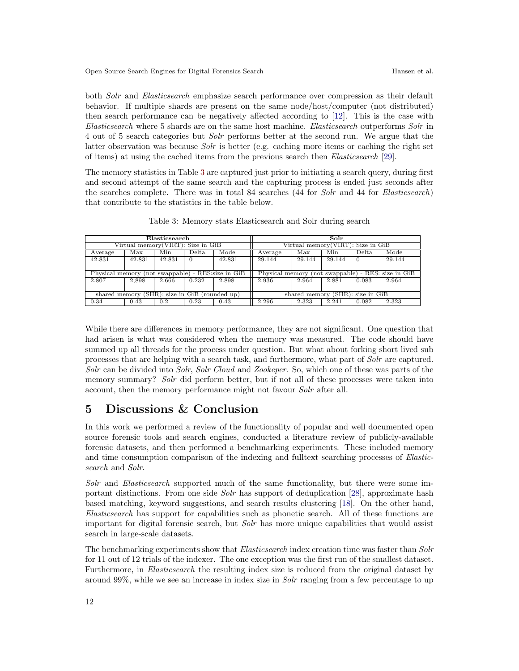both Solr and Elasticsearch emphasize search performance over compression as their default behavior. If multiple shards are present on the same node/host/computer (not distributed) then search performance can be negatively affected according to [\[12\]](#page-12-12). This is the case with Elasticsearch where 5 shards are on the same host machine. Elasticsearch outperforms Solr in 4 out of 5 search categories but Solr performs better at the second run. We argue that the latter observation was because Solr is better (e.g. caching more items or caching the right set of items) at using the cached items from the previous search then Elasticsearch [\[29\]](#page-13-16).

The memory statistics in Table [3](#page-11-1) are captured just prior to initiating a search query, during first and second attempt of the same search and the capturing process is ended just seconds after the searches complete. There was in total 84 searches (44 for Solr and 44 for Elasticsearch) that contribute to the statistics in the table below.

<span id="page-11-1"></span>

| Elasticsearch                                      |        |        | Solr                                               |        |         |        |        |       |        |
|----------------------------------------------------|--------|--------|----------------------------------------------------|--------|---------|--------|--------|-------|--------|
| Virtual memory (VIRT): Size in GiB                 |        |        | Virtual memory (VIRT): Size in GiB                 |        |         |        |        |       |        |
| Average                                            | Max    | Min    | Delta                                              | Mode   | Average | Max    | Min    | Delta | Mode   |
| 42.831                                             | 42.831 | 42.831 | - 0                                                | 42.831 | 29.144  | 29.144 | 29.144 |       | 29.144 |
|                                                    |        |        |                                                    |        |         |        |        |       |        |
| Physical memory (not swappable) - RES: size in GiB |        |        | Physical memory (not swappable) - RES: size in GiB |        |         |        |        |       |        |
| 2.807                                              | 2.898  | 2.666  | 0.232                                              | 2.898  | 2.936   | 2.964  | 2.881  | 0.083 | 2.964  |
|                                                    |        |        |                                                    |        |         |        |        |       |        |
| shared memory (SHR): size in GiB (rounded up)      |        |        | shared memory (SHR): size in GiB                   |        |         |        |        |       |        |
| 0.34                                               | 0.43   | 0.2    | 0.23                                               | 0.43   | 2.296   | 2.323  | 2.241  | 0.082 | 2.323  |

Table 3: Memory stats Elasticsearch and Solr during search

While there are differences in memory performance, they are not significant. One question that had arisen is what was considered when the memory was measured. The code should have summed up all threads for the process under question. But what about forking short lived sub processes that are helping with a search task, and furthermore, what part of Solr are captured. Solr can be divided into Solr, Solr Cloud and Zookeper. So, which one of these was parts of the memory summary? Solr did perform better, but if not all of these processes were taken into account, then the memory performance might not favour Solr after all.

## <span id="page-11-0"></span>5 Discussions & Conclusion

In this work we performed a review of the functionality of popular and well documented open source forensic tools and search engines, conducted a literature review of publicly-available forensic datasets, and then performed a benchmarking experiments. These included memory and time consumption comparison of the indexing and fulltext searching processes of Elasticsearch and Solr.

Solr and Elasticsearch supported much of the same functionality, but there were some im-portant distinctions. From one side Solr has support of deduplication [\[28\]](#page-13-17), approximate hash based matching, keyword suggestions, and search results clustering [\[18\]](#page-13-18). On the other hand, Elasticsearch has support for capabilities such as phonetic search. All of these functions are important for digital forensic search, but Solr has more unique capabilities that would assist search in large-scale datasets.

The benchmarking experiments show that *Elasticsearch* index creation time was faster than *Solr* for 11 out of 12 trials of the indexer. The one exception was the first run of the smallest dataset. Furthermore, in *Elasticsearch* the resulting index size is reduced from the original dataset by around 99%, while we see an increase in index size in Solr ranging from a few percentage to up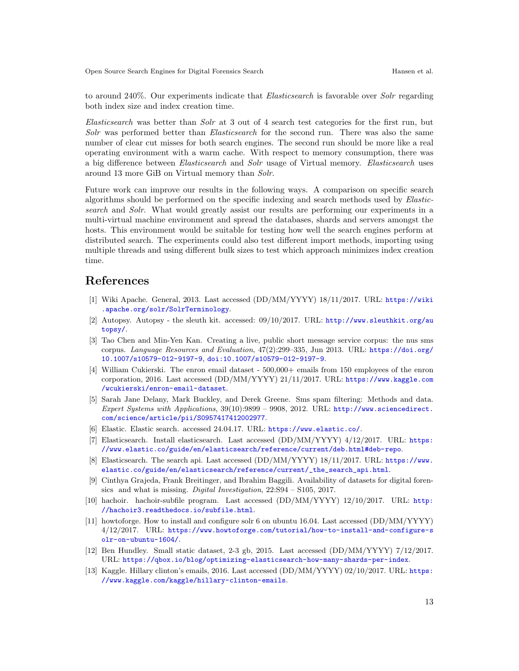to around 240%. Our experiments indicate that Elasticsearch is favorable over Solr regarding both index size and index creation time.

Elasticsearch was better than Solr at 3 out of 4 search test categories for the first run, but Solr was performed better than Elasticsearch for the second run. There was also the same number of clear cut misses for both search engines. The second run should be more like a real operating environment with a warm cache. With respect to memory consumption, there was a big difference between Elasticsearch and Solr usage of Virtual memory. Elasticsearch uses around 13 more GiB on Virtual memory than Solr.

Future work can improve our results in the following ways. A comparison on specific search algorithms should be performed on the specific indexing and search methods used by Elasticsearch and Solr. What would greatly assist our results are performing our experiments in a multi-virtual machine environment and spread the databases, shards and servers amongst the hosts. This environment would be suitable for testing how well the search engines perform at distributed search. The experiments could also test different import methods, importing using multiple threads and using different bulk sizes to test which approach minimizes index creation time.

# References

- <span id="page-12-10"></span>[1] Wiki Apache. General, 2013. Last accessed (DD/MM/YYYY) 18/11/2017. URL: [https://wiki](https://wiki.apache.org/solr/SolrTerminology) [.apache.org/solr/SolrTerminology](https://wiki.apache.org/solr/SolrTerminology).
- <span id="page-12-1"></span>[2] Autopsy. Autopsy - the sleuth kit. accessed: 09/10/2017. URL: [http://www.sleuthkit.org/au](http://www.sleuthkit.org/autopsy/) [topsy/](http://www.sleuthkit.org/autopsy/).
- <span id="page-12-8"></span>[3] Tao Chen and Min-Yen Kan. Creating a live, public short message service corpus: the nus sms corpus. Language Resources and Evaluation, 47(2):299–335, Jun 2013. URL: [https://doi.org/](https://doi.org/10.1007/s10579-012-9197-9) [10.1007/s10579-012-9197-9](https://doi.org/10.1007/s10579-012-9197-9), [doi:10.1007/s10579-012-9197-9](http://dx.doi.org/10.1007/s10579-012-9197-9).
- <span id="page-12-6"></span>[4] William Cukierski. The enron email dataset - 500,000+ emails from 150 employees of the enron corporation, 2016. Last accessed (DD/MM/YYYY) 21/11/2017. URL: [https://www.kaggle.com](https://www.kaggle.com/wcukierski/enron-email-dataset) [/wcukierski/enron-email-dataset](https://www.kaggle.com/wcukierski/enron-email-dataset).
- <span id="page-12-9"></span>[5] Sarah Jane Delany, Mark Buckley, and Derek Greene. Sms spam filtering: Methods and data. Expert Systems with Applications, 39(10):9899 – 9908, 2012. URL: [http://www.sciencedirect.](http://www.sciencedirect.com/science/article/pii/S0957417412002977) [com/science/article/pii/S0957417412002977](http://www.sciencedirect.com/science/article/pii/S0957417412002977).
- <span id="page-12-2"></span>[6] Elastic. Elastic search. accessed 24.04.17. URL: <https://www.elastic.co/>.
- <span id="page-12-5"></span>[7] Elasticsearch. Install elasticsearch. Last accessed (DD/MM/YYYY)  $4/12/2017$ . URL: [https:](https://www.elastic.co/guide/en/elasticsearch/reference/current/deb.html#deb-repo) [//www.elastic.co/guide/en/elasticsearch/reference/current/deb.html#deb-repo](https://www.elastic.co/guide/en/elasticsearch/reference/current/deb.html#deb-repo).
- <span id="page-12-11"></span>[8] Elasticsearch. The search api. Last accessed (DD/MM/YYYY) 18/11/2017. URL: [https://www.](https://www.elastic.co/guide/en/elasticsearch/reference/current/_the_search_api.html) [elastic.co/guide/en/elasticsearch/reference/current/\\_the\\_search\\_api.html](https://www.elastic.co/guide/en/elasticsearch/reference/current/_the_search_api.html).
- <span id="page-12-0"></span>[9] Cinthya Grajeda, Frank Breitinger, and Ibrahim Baggili. Availability of datasets for digital forensics and what is missing. Digital Investigation, 22:S94 – S105, 2017.
- <span id="page-12-3"></span>[10] hachoir. hachoir-subfile program. Last accessed (DD/MM/YYYY) 12/10/2017. URL: [http:](http://hachoir3.readthedocs.io/subfile.html) [//hachoir3.readthedocs.io/subfile.html](http://hachoir3.readthedocs.io/subfile.html).
- <span id="page-12-4"></span>[11] howtoforge. How to install and configure solr 6 on ubuntu 16.04. Last accessed (DD/MM/YYYY) 4/12/2017. URL: [https://www.howtoforge.com/tutorial/how-to-install-and-configure-s](https://www.howtoforge.com/tutorial/how-to-install-and-configure-solr-on-ubuntu-1604/) [olr-on-ubuntu-1604/](https://www.howtoforge.com/tutorial/how-to-install-and-configure-solr-on-ubuntu-1604/).
- <span id="page-12-12"></span>[12] Ben Hundley. Small static dataset, 2-3 gb, 2015. Last accessed (DD/MM/YYYY) 7/12/2017. URL: <https://qbox.io/blog/optimizing-elasticsearch-how-many-shards-per-index>.
- <span id="page-12-7"></span>[13] Kaggle. Hillary clinton's emails, 2016. Last accessed (DD/MM/YYYY) 02/10/2017. URL: [https:](https://www.kaggle.com/kaggle/hillary-clinton-emails) [//www.kaggle.com/kaggle/hillary-clinton-emails](https://www.kaggle.com/kaggle/hillary-clinton-emails).